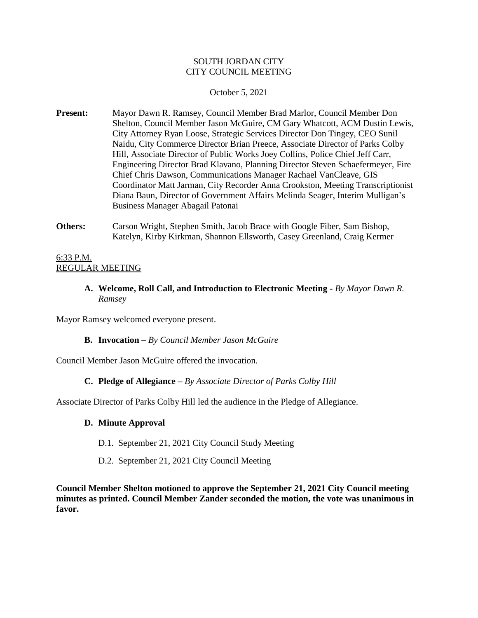#### SOUTH JORDAN CITY CITY COUNCIL MEETING

#### October 5, 2021

- **Present:** Mayor Dawn R. Ramsey, Council Member Brad Marlor, Council Member Don Shelton, Council Member Jason McGuire, CM Gary Whatcott, ACM Dustin Lewis, City Attorney Ryan Loose, Strategic Services Director Don Tingey, CEO Sunil Naidu, City Commerce Director Brian Preece, Associate Director of Parks Colby Hill, Associate Director of Public Works Joey Collins, Police Chief Jeff Carr, Engineering Director Brad Klavano, Planning Director Steven Schaefermeyer, Fire Chief Chris Dawson, Communications Manager Rachael VanCleave, GIS Coordinator Matt Jarman, City Recorder Anna Crookston, Meeting Transcriptionist Diana Baun, Director of Government Affairs Melinda Seager, Interim Mulligan's Business Manager Abagail Patonai
- **Others:** Carson Wright, Stephen Smith, Jacob Brace with Google Fiber, Sam Bishop, Katelyn, Kirby Kirkman, Shannon Ellsworth, Casey Greenland, Craig Kermer

#### 6:33 P.M. REGULAR MEETING

**A. Welcome, Roll Call, and Introduction to Electronic Meeting -** *By Mayor Dawn R. Ramsey*

Mayor Ramsey welcomed everyone present.

#### **B. Invocation –** *By Council Member Jason McGuire*

Council Member Jason McGuire offered the invocation.

#### **C. Pledge of Allegiance –** *By Associate Director of Parks Colby Hill*

Associate Director of Parks Colby Hill led the audience in the Pledge of Allegiance.

#### **D. Minute Approval**

- D.1. September 21, 2021 City Council Study Meeting
- D.2. September 21, 2021 City Council Meeting

**Council Member Shelton motioned to approve the September 21, 2021 City Council meeting minutes as printed. Council Member Zander seconded the motion, the vote was unanimous in favor.**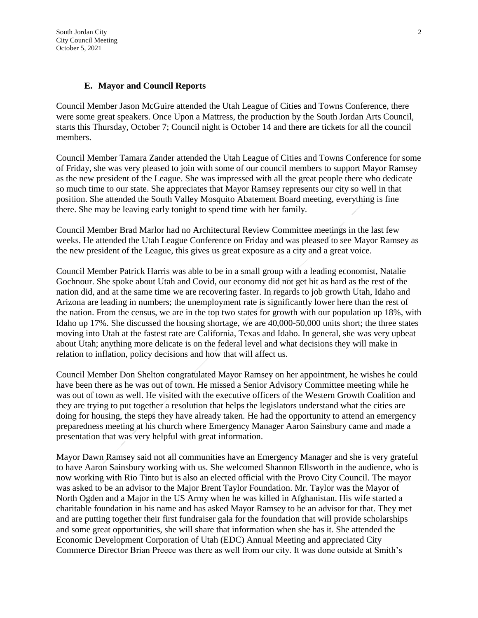South Jordan City 2 City Council Meeting October 5, 2021

#### **E. Mayor and Council Reports**

Council Member Jason McGuire attended the Utah League of Cities and Towns Conference, there were some great speakers. Once Upon a Mattress, the production by the South Jordan Arts Council, starts this Thursday, October 7; Council night is October 14 and there are tickets for all the council members.

Council Member Tamara Zander attended the Utah League of Cities and Towns Conference for some of Friday, she was very pleased to join with some of our council members to support Mayor Ramsey as the new president of the League. She was impressed with all the great people there who dedicate so much time to our state. She appreciates that Mayor Ramsey represents our city so well in that position. She attended the South Valley Mosquito Abatement Board meeting, everything is fine there. She may be leaving early tonight to spend time with her family.

Council Member Brad Marlor had no Architectural Review Committee meetings in the last few weeks. He attended the Utah League Conference on Friday and was pleased to see Mayor Ramsey as the new president of the League, this gives us great exposure as a city and a great voice.

Council Member Patrick Harris was able to be in a small group with a leading economist, Natalie Gochnour. She spoke about Utah and Covid, our economy did not get hit as hard as the rest of the nation did, and at the same time we are recovering faster. In regards to job growth Utah, Idaho and Arizona are leading in numbers; the unemployment rate is significantly lower here than the rest of the nation. From the census, we are in the top two states for growth with our population up 18%, with Idaho up 17%. She discussed the housing shortage, we are 40,000-50,000 units short; the three states moving into Utah at the fastest rate are California, Texas and Idaho. In general, she was very upbeat about Utah; anything more delicate is on the federal level and what decisions they will make in relation to inflation, policy decisions and how that will affect us.

Council Member Don Shelton congratulated Mayor Ramsey on her appointment, he wishes he could have been there as he was out of town. He missed a Senior Advisory Committee meeting while he was out of town as well. He visited with the executive officers of the Western Growth Coalition and they are trying to put together a resolution that helps the legislators understand what the cities are doing for housing, the steps they have already taken. He had the opportunity to attend an emergency preparedness meeting at his church where Emergency Manager Aaron Sainsbury came and made a presentation that was very helpful with great information.

Mayor Dawn Ramsey said not all communities have an Emergency Manager and she is very grateful to have Aaron Sainsbury working with us. She welcomed Shannon Ellsworth in the audience, who is now working with Rio Tinto but is also an elected official with the Provo City Council. The mayor was asked to be an advisor to the Major Brent Taylor Foundation. Mr. Taylor was the Mayor of North Ogden and a Major in the US Army when he was killed in Afghanistan. His wife started a charitable foundation in his name and has asked Mayor Ramsey to be an advisor for that. They met and are putting together their first fundraiser gala for the foundation that will provide scholarships and some great opportunities, she will share that information when she has it. She attended the Economic Development Corporation of Utah (EDC) Annual Meeting and appreciated City Commerce Director Brian Preece was there as well from our city. It was done outside at Smith's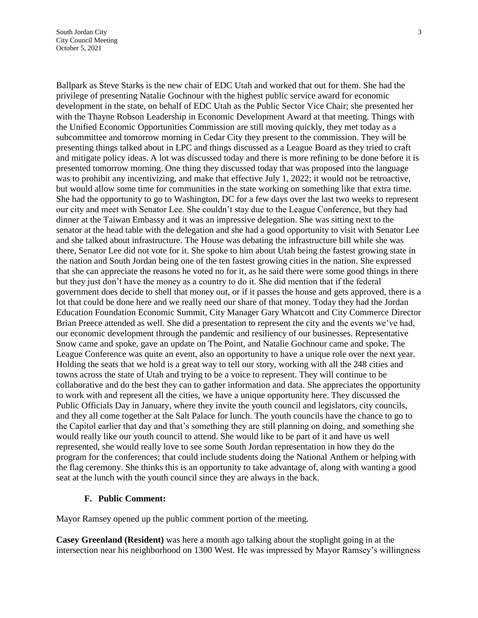Ballpark as Steve Starks is the new chair of EDC Utah and worked that out for them. She had the privilege of presenting Natalie Gochnour with the highest public service award for economic development in the state, on behalf of EDC Utah as the Public Sector Vice Chair; she presented her with the Thayne Robson Leadership in Economic Development Award at that meeting. Things with the Unified Economic Opportunities Commission are still moving quickly, they met today as a subcommittee and tomorrow morning in Cedar City they present to the commission. They will be presenting things talked about in LPC and things discussed as a League Board as they tried to craft and mitigate policy ideas. A lot was discussed today and there is more refining to be done before it is presented tomorrow morning. One thing they discussed today that was proposed into the language was to prohibit any incentivizing, and make that effective July 1, 2022; it would not be retroactive, but would allow some time for communities in the state working on something like that extra time. She had the opportunity to go to Washington, DC for a few days over the last two weeks to represent our city and meet with Senator Lee. She couldn't stay due to the League Conference, but they had dinner at the Taiwan Embassy and it was an impressive delegation. She was sitting next to the senator at the head table with the delegation and she had a good opportunity to visit with Senator Lee and she talked about infrastructure. The House was debating the infrastructure bill while she was there, Senator Lee did not vote for it. She spoke to him about Utah being the fastest growing state in the nation and South Jordan being one of the ten fastest growing cities in the nation. She expressed that she can appreciate the reasons he voted no for it, as he said there were some good things in there but they just don't have the money as a country to do it. She did mention that if the federal government does decide to shell that money out, or if it passes the house and gets approved, there is a lot that could be done here and we really need our share of that money. Today they had the Jordan Education Foundation Economic Summit, City Manager Gary Whatcott and City Commerce Director Brian Preece attended as well. She did a presentation to represent the city and the events we've had, our economic development through the pandemic and resiliency of our businesses. Representative Snow came and spoke, gave an update on The Point, and Natalie Gochnour came and spoke. The League Conference was quite an event, also an opportunity to have a unique role over the next year. Holding the seats that we hold is a great way to tell our story, working with all the 248 cities and towns across the state of Utah and trying to be a voice to represent. They will continue to be collaborative and do the best they can to gather information and data. She appreciates the opportunity to work with and represent all the cities, we have a unique opportunity here. They discussed the Public Officials Day in January, where they invite the youth council and legislators, city councils, and they all come together at the Salt Palace for lunch. The youth councils have the chance to go to the Capitol earlier that day and that's something they are still planning on doing, and something she would really like our youth council to attend. She would like to be part of it and have us well represented, she would really love to see some South Jordan representation in how they do the program for the conferences; that could include students doing the National Anthem or helping with the flag ceremony. She thinks this is an opportunity to take advantage of, along with wanting a good seat at the lunch with the youth council since they are always in the back.

#### **F. Public Comment:**

Mayor Ramsey opened up the public comment portion of the meeting.

**Casey Greenland (Resident)** was here a month ago talking about the stoplight going in at the intersection near his neighborhood on 1300 West. He was impressed by Mayor Ramsey's willingness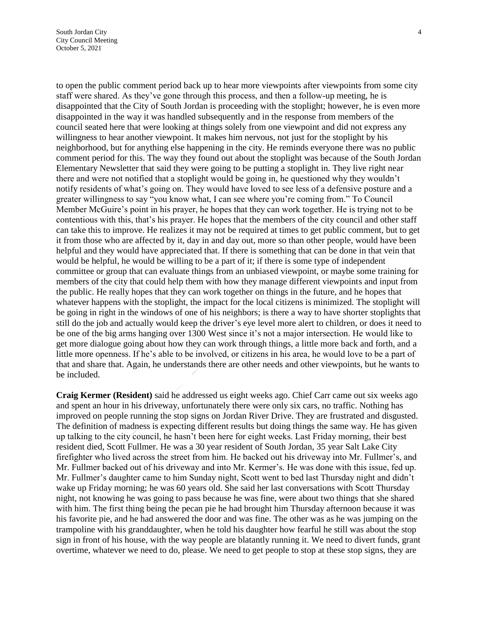to open the public comment period back up to hear more viewpoints after viewpoints from some city staff were shared. As they've gone through this process, and then a follow-up meeting, he is disappointed that the City of South Jordan is proceeding with the stoplight; however, he is even more disappointed in the way it was handled subsequently and in the response from members of the council seated here that were looking at things solely from one viewpoint and did not express any willingness to hear another viewpoint. It makes him nervous, not just for the stoplight by his neighborhood, but for anything else happening in the city. He reminds everyone there was no public comment period for this. The way they found out about the stoplight was because of the South Jordan Elementary Newsletter that said they were going to be putting a stoplight in. They live right near there and were not notified that a stoplight would be going in, he questioned why they wouldn't notify residents of what's going on. They would have loved to see less of a defensive posture and a greater willingness to say "you know what, I can see where you're coming from." To Council Member McGuire's point in his prayer, he hopes that they can work together. He is trying not to be contentious with this, that's his prayer. He hopes that the members of the city council and other staff can take this to improve. He realizes it may not be required at times to get public comment, but to get it from those who are affected by it, day in and day out, more so than other people, would have been helpful and they would have appreciated that. If there is something that can be done in that vein that would be helpful, he would be willing to be a part of it; if there is some type of independent committee or group that can evaluate things from an unbiased viewpoint, or maybe some training for members of the city that could help them with how they manage different viewpoints and input from the public. He really hopes that they can work together on things in the future, and he hopes that whatever happens with the stoplight, the impact for the local citizens is minimized. The stoplight will be going in right in the windows of one of his neighbors; is there a way to have shorter stoplights that still do the job and actually would keep the driver's eye level more alert to children, or does it need to be one of the big arms hanging over 1300 West since it's not a major intersection. He would like to get more dialogue going about how they can work through things, a little more back and forth, and a little more openness. If he's able to be involved, or citizens in his area, he would love to be a part of that and share that. Again, he understands there are other needs and other viewpoints, but he wants to be included.

**Craig Kermer (Resident)** said he addressed us eight weeks ago. Chief Carr came out six weeks ago and spent an hour in his driveway, unfortunately there were only six cars, no traffic. Nothing has improved on people running the stop signs on Jordan River Drive. They are frustrated and disgusted. The definition of madness is expecting different results but doing things the same way. He has given up talking to the city council, he hasn't been here for eight weeks. Last Friday morning, their best resident died, Scott Fullmer. He was a 30 year resident of South Jordan, 35 year Salt Lake City firefighter who lived across the street from him. He backed out his driveway into Mr. Fullmer's, and Mr. Fullmer backed out of his driveway and into Mr. Kermer's. He was done with this issue, fed up. Mr. Fullmer's daughter came to him Sunday night, Scott went to bed last Thursday night and didn't wake up Friday morning; he was 60 years old. She said her last conversations with Scott Thursday night, not knowing he was going to pass because he was fine, were about two things that she shared with him. The first thing being the pecan pie he had brought him Thursday afternoon because it was his favorite pie, and he had answered the door and was fine. The other was as he was jumping on the trampoline with his granddaughter, when he told his daughter how fearful he still was about the stop sign in front of his house, with the way people are blatantly running it. We need to divert funds, grant overtime, whatever we need to do, please. We need to get people to stop at these stop signs, they are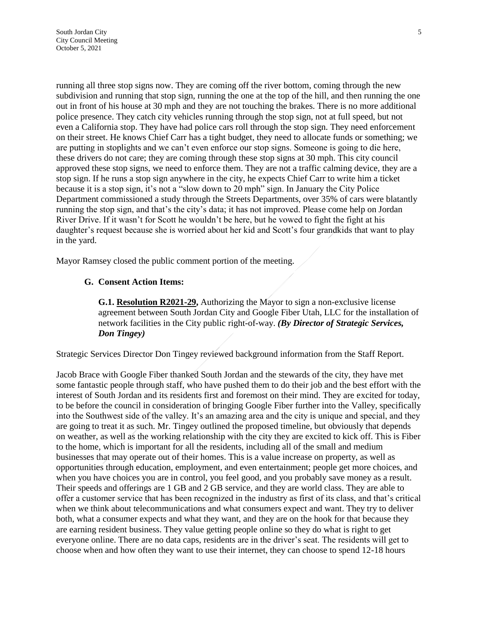running all three stop signs now. They are coming off the river bottom, coming through the new subdivision and running that stop sign, running the one at the top of the hill, and then running the one out in front of his house at 30 mph and they are not touching the brakes. There is no more additional police presence. They catch city vehicles running through the stop sign, not at full speed, but not even a California stop. They have had police cars roll through the stop sign. They need enforcement on their street. He knows Chief Carr has a tight budget, they need to allocate funds or something; we are putting in stoplights and we can't even enforce our stop signs. Someone is going to die here, these drivers do not care; they are coming through these stop signs at 30 mph. This city council approved these stop signs, we need to enforce them. They are not a traffic calming device, they are a stop sign. If he runs a stop sign anywhere in the city, he expects Chief Carr to write him a ticket because it is a stop sign, it's not a "slow down to 20 mph" sign. In January the City Police Department commissioned a study through the Streets Departments, over 35% of cars were blatantly running the stop sign, and that's the city's data; it has not improved. Please come help on Jordan River Drive. If it wasn't for Scott he wouldn't be here, but he vowed to fight the fight at his daughter's request because she is worried about her kid and Scott's four grandkids that want to play in the yard.

Mayor Ramsey closed the public comment portion of the meeting.

#### **G. Consent Action Items:**

**G.1. Resolution R2021-29,** Authorizing the Mayor to sign a non-exclusive license agreement between South Jordan City and Google Fiber Utah, LLC for the installation of network facilities in the City public right-of-way. *(By Director of Strategic Services, Don Tingey)*

Strategic Services Director Don Tingey reviewed background information from the Staff Report.

Jacob Brace with Google Fiber thanked South Jordan and the stewards of the city, they have met some fantastic people through staff, who have pushed them to do their job and the best effort with the interest of South Jordan and its residents first and foremost on their mind. They are excited for today, to be before the council in consideration of bringing Google Fiber further into the Valley, specifically into the Southwest side of the valley. It's an amazing area and the city is unique and special, and they are going to treat it as such. Mr. Tingey outlined the proposed timeline, but obviously that depends on weather, as well as the working relationship with the city they are excited to kick off. This is Fiber to the home, which is important for all the residents, including all of the small and medium businesses that may operate out of their homes. This is a value increase on property, as well as opportunities through education, employment, and even entertainment; people get more choices, and when you have choices you are in control, you feel good, and you probably save money as a result. Their speeds and offerings are 1 GB and 2 GB service, and they are world class. They are able to offer a customer service that has been recognized in the industry as first of its class, and that's critical when we think about telecommunications and what consumers expect and want. They try to deliver both, what a consumer expects and what they want, and they are on the hook for that because they are earning resident business. They value getting people online so they do what is right to get everyone online. There are no data caps, residents are in the driver's seat. The residents will get to choose when and how often they want to use their internet, they can choose to spend 12-18 hours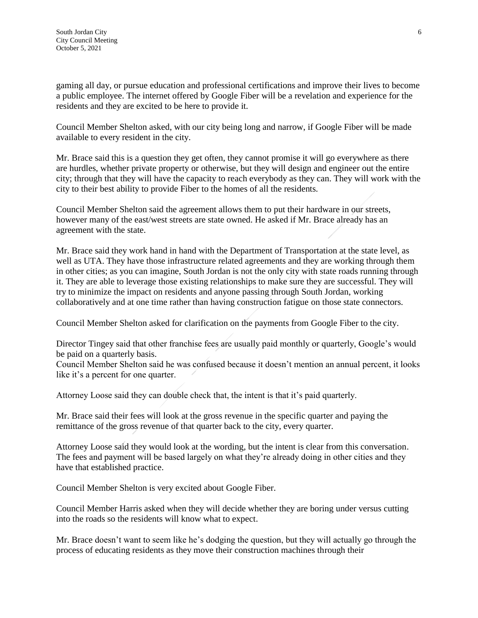gaming all day, or pursue education and professional certifications and improve their lives to become a public employee. The internet offered by Google Fiber will be a revelation and experience for the residents and they are excited to be here to provide it.

Council Member Shelton asked, with our city being long and narrow, if Google Fiber will be made available to every resident in the city.

Mr. Brace said this is a question they get often, they cannot promise it will go everywhere as there are hurdles, whether private property or otherwise, but they will design and engineer out the entire city; through that they will have the capacity to reach everybody as they can. They will work with the city to their best ability to provide Fiber to the homes of all the residents.

Council Member Shelton said the agreement allows them to put their hardware in our streets, however many of the east/west streets are state owned. He asked if Mr. Brace already has an agreement with the state.

Mr. Brace said they work hand in hand with the Department of Transportation at the state level, as well as UTA. They have those infrastructure related agreements and they are working through them in other cities; as you can imagine, South Jordan is not the only city with state roads running through it. They are able to leverage those existing relationships to make sure they are successful. They will try to minimize the impact on residents and anyone passing through South Jordan, working collaboratively and at one time rather than having construction fatigue on those state connectors.

Council Member Shelton asked for clarification on the payments from Google Fiber to the city.

Director Tingey said that other franchise fees are usually paid monthly or quarterly, Google's would be paid on a quarterly basis.

Council Member Shelton said he was confused because it doesn't mention an annual percent, it looks like it's a percent for one quarter.

Attorney Loose said they can double check that, the intent is that it's paid quarterly.

Mr. Brace said their fees will look at the gross revenue in the specific quarter and paying the remittance of the gross revenue of that quarter back to the city, every quarter.

Attorney Loose said they would look at the wording, but the intent is clear from this conversation. The fees and payment will be based largely on what they're already doing in other cities and they have that established practice.

Council Member Shelton is very excited about Google Fiber.

Council Member Harris asked when they will decide whether they are boring under versus cutting into the roads so the residents will know what to expect.

Mr. Brace doesn't want to seem like he's dodging the question, but they will actually go through the process of educating residents as they move their construction machines through their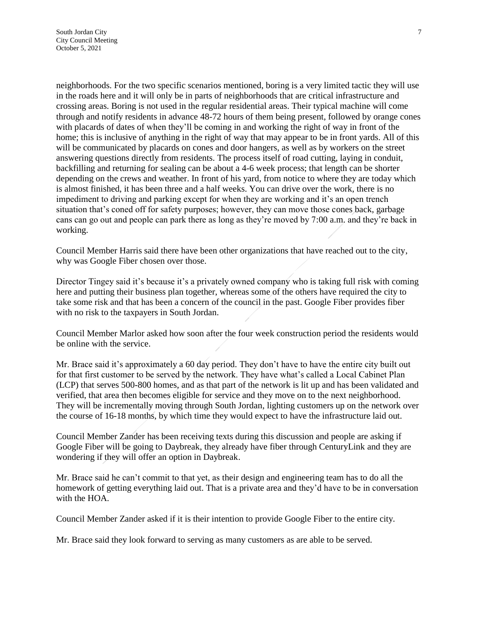neighborhoods. For the two specific scenarios mentioned, boring is a very limited tactic they will use in the roads here and it will only be in parts of neighborhoods that are critical infrastructure and crossing areas. Boring is not used in the regular residential areas. Their typical machine will come through and notify residents in advance 48-72 hours of them being present, followed by orange cones with placards of dates of when they'll be coming in and working the right of way in front of the home; this is inclusive of anything in the right of way that may appear to be in front yards. All of this will be communicated by placards on cones and door hangers, as well as by workers on the street answering questions directly from residents. The process itself of road cutting, laying in conduit, backfilling and returning for sealing can be about a 4-6 week process; that length can be shorter depending on the crews and weather. In front of his yard, from notice to where they are today which is almost finished, it has been three and a half weeks. You can drive over the work, there is no impediment to driving and parking except for when they are working and it's an open trench situation that's coned off for safety purposes; however, they can move those cones back, garbage cans can go out and people can park there as long as they're moved by 7:00 a.m. and they're back in working.

Council Member Harris said there have been other organizations that have reached out to the city, why was Google Fiber chosen over those.

Director Tingey said it's because it's a privately owned company who is taking full risk with coming here and putting their business plan together, whereas some of the others have required the city to take some risk and that has been a concern of the council in the past. Google Fiber provides fiber with no risk to the taxpayers in South Jordan.

Council Member Marlor asked how soon after the four week construction period the residents would be online with the service.

Mr. Brace said it's approximately a 60 day period. They don't have to have the entire city built out for that first customer to be served by the network. They have what's called a Local Cabinet Plan (LCP) that serves 500-800 homes, and as that part of the network is lit up and has been validated and verified, that area then becomes eligible for service and they move on to the next neighborhood. They will be incrementally moving through South Jordan, lighting customers up on the network over the course of 16-18 months, by which time they would expect to have the infrastructure laid out.

Council Member Zander has been receiving texts during this discussion and people are asking if Google Fiber will be going to Daybreak, they already have fiber through CenturyLink and they are wondering if they will offer an option in Daybreak.

Mr. Brace said he can't commit to that yet, as their design and engineering team has to do all the homework of getting everything laid out. That is a private area and they'd have to be in conversation with the HOA.

Council Member Zander asked if it is their intention to provide Google Fiber to the entire city.

Mr. Brace said they look forward to serving as many customers as are able to be served.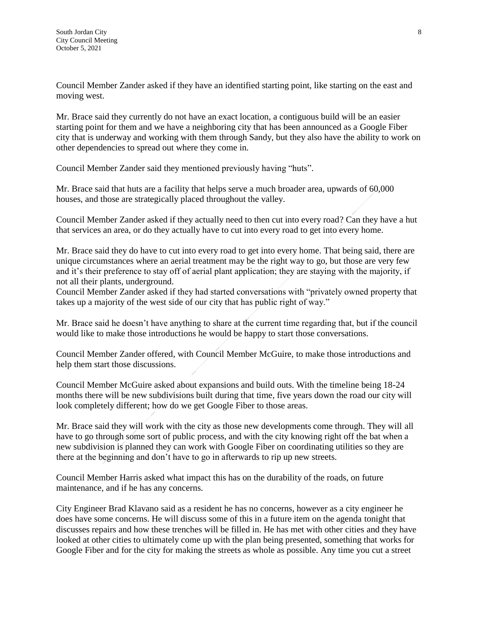Council Member Zander asked if they have an identified starting point, like starting on the east and moving west.

Mr. Brace said they currently do not have an exact location, a contiguous build will be an easier starting point for them and we have a neighboring city that has been announced as a Google Fiber city that is underway and working with them through Sandy, but they also have the ability to work on other dependencies to spread out where they come in.

Council Member Zander said they mentioned previously having "huts".

Mr. Brace said that huts are a facility that helps serve a much broader area, upwards of 60,000 houses, and those are strategically placed throughout the valley.

Council Member Zander asked if they actually need to then cut into every road? Can they have a hut that services an area, or do they actually have to cut into every road to get into every home.

Mr. Brace said they do have to cut into every road to get into every home. That being said, there are unique circumstances where an aerial treatment may be the right way to go, but those are very few and it's their preference to stay off of aerial plant application; they are staying with the majority, if not all their plants, underground.

Council Member Zander asked if they had started conversations with "privately owned property that takes up a majority of the west side of our city that has public right of way."

Mr. Brace said he doesn't have anything to share at the current time regarding that, but if the council would like to make those introductions he would be happy to start those conversations.

Council Member Zander offered, with Council Member McGuire, to make those introductions and help them start those discussions.

Council Member McGuire asked about expansions and build outs. With the timeline being 18-24 months there will be new subdivisions built during that time, five years down the road our city will look completely different; how do we get Google Fiber to those areas.

Mr. Brace said they will work with the city as those new developments come through. They will all have to go through some sort of public process, and with the city knowing right off the bat when a new subdivision is planned they can work with Google Fiber on coordinating utilities so they are there at the beginning and don't have to go in afterwards to rip up new streets.

Council Member Harris asked what impact this has on the durability of the roads, on future maintenance, and if he has any concerns.

City Engineer Brad Klavano said as a resident he has no concerns, however as a city engineer he does have some concerns. He will discuss some of this in a future item on the agenda tonight that discusses repairs and how these trenches will be filled in. He has met with other cities and they have looked at other cities to ultimately come up with the plan being presented, something that works for Google Fiber and for the city for making the streets as whole as possible. Any time you cut a street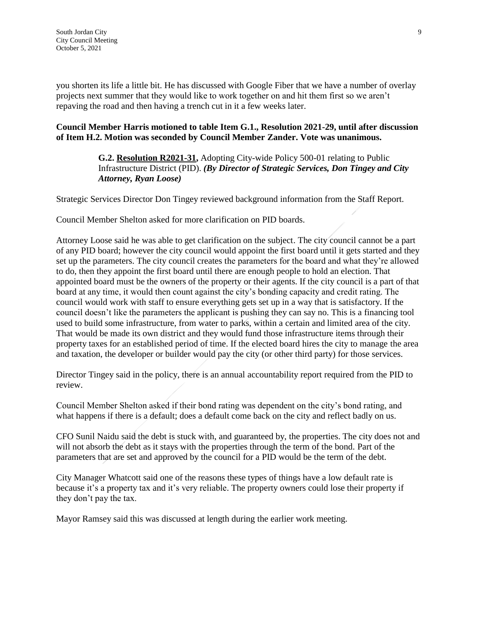you shorten its life a little bit. He has discussed with Google Fiber that we have a number of overlay projects next summer that they would like to work together on and hit them first so we aren't repaving the road and then having a trench cut in it a few weeks later.

#### **Council Member Harris motioned to table Item G.1., Resolution 2021-29, until after discussion of Item H.2. Motion was seconded by Council Member Zander. Vote was unanimous.**

### **G.2. Resolution R2021-31,** Adopting City-wide Policy 500-01 relating to Public Infrastructure District (PID). *(By Director of Strategic Services, Don Tingey and City Attorney, Ryan Loose)*

Strategic Services Director Don Tingey reviewed background information from the Staff Report.

Council Member Shelton asked for more clarification on PID boards.

Attorney Loose said he was able to get clarification on the subject. The city council cannot be a part of any PID board; however the city council would appoint the first board until it gets started and they set up the parameters. The city council creates the parameters for the board and what they're allowed to do, then they appoint the first board until there are enough people to hold an election. That appointed board must be the owners of the property or their agents. If the city council is a part of that board at any time, it would then count against the city's bonding capacity and credit rating. The council would work with staff to ensure everything gets set up in a way that is satisfactory. If the council doesn't like the parameters the applicant is pushing they can say no. This is a financing tool used to build some infrastructure, from water to parks, within a certain and limited area of the city. That would be made its own district and they would fund those infrastructure items through their property taxes for an established period of time. If the elected board hires the city to manage the area and taxation, the developer or builder would pay the city (or other third party) for those services.

Director Tingey said in the policy, there is an annual accountability report required from the PID to review.

Council Member Shelton asked if their bond rating was dependent on the city's bond rating, and what happens if there is a default; does a default come back on the city and reflect badly on us.

CFO Sunil Naidu said the debt is stuck with, and guaranteed by, the properties. The city does not and will not absorb the debt as it stays with the properties through the term of the bond. Part of the parameters that are set and approved by the council for a PID would be the term of the debt.

City Manager Whatcott said one of the reasons these types of things have a low default rate is because it's a property tax and it's very reliable. The property owners could lose their property if they don't pay the tax.

Mayor Ramsey said this was discussed at length during the earlier work meeting.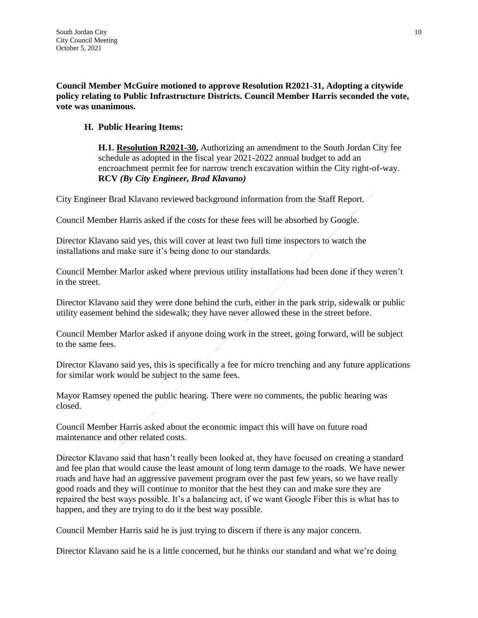**Council Member McGuire motioned to approve Resolution R2021-31, Adopting a citywide policy relating to Public Infrastructure Districts. Council Member Harris seconded the vote, vote was unanimous.**

## **H. Public Hearing Items:**

**H.1. Resolution R2021-30,** Authorizing an amendment to the South Jordan City fee schedule as adopted in the fiscal year 2021-2022 annual budget to add an encroachment permit fee for narrow trench excavation within the City right-of-way. **RCV** *(By City Engineer, Brad Klavano)*

City Engineer Brad Klavano reviewed background information from the Staff Report.

Council Member Harris asked if the costs for these fees will be absorbed by Google.

Director Klavano said yes, this will cover at least two full time inspectors to watch the installations and make sure it's being done to our standards.

Council Member Marlor asked where previous utility installations had been done if they weren't in the street.

Director Klavano said they were done behind the curb, either in the park strip, sidewalk or public utility easement behind the sidewalk; they have never allowed these in the street before.

Council Member Marlor asked if anyone doing work in the street, going forward, will be subject to the same fees.

Director Klavano said yes, this is specifically a fee for micro trenching and any future applications for similar work would be subject to the same fees.

Mayor Ramsey opened the public hearing. There were no comments, the public hearing was closed.

Council Member Harris asked about the economic impact this will have on future road maintenance and other related costs.

Director Klavano said that hasn't really been looked at, they have focused on creating a standard and fee plan that would cause the least amount of long term damage to the roads. We have newer roads and have had an aggressive pavement program over the past few years, so we have really good roads and they will continue to monitor that the best they can and make sure they are repaired the best ways possible. It's a balancing act, if we want Google Fiber this is what has to happen, and they are trying to do it the best way possible.

Council Member Harris said he is just trying to discern if there is any major concern.

Director Klavano said he is a little concerned, but he thinks our standard and what we're doing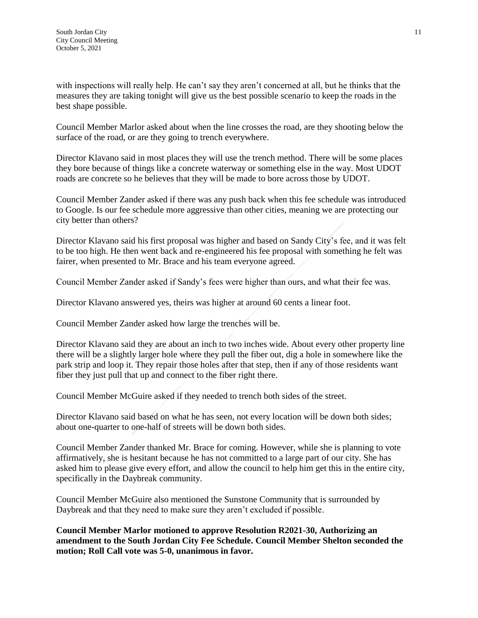with inspections will really help. He can't say they aren't concerned at all, but he thinks that the measures they are taking tonight will give us the best possible scenario to keep the roads in the best shape possible.

Council Member Marlor asked about when the line crosses the road, are they shooting below the surface of the road, or are they going to trench everywhere.

Director Klavano said in most places they will use the trench method. There will be some places they bore because of things like a concrete waterway or something else in the way. Most UDOT roads are concrete so he believes that they will be made to bore across those by UDOT.

Council Member Zander asked if there was any push back when this fee schedule was introduced to Google. Is our fee schedule more aggressive than other cities, meaning we are protecting our city better than others?

Director Klavano said his first proposal was higher and based on Sandy City's fee, and it was felt to be too high. He then went back and re-engineered his fee proposal with something he felt was fairer, when presented to Mr. Brace and his team everyone agreed.

Council Member Zander asked if Sandy's fees were higher than ours, and what their fee was.

Director Klavano answered yes, theirs was higher at around 60 cents a linear foot.

Council Member Zander asked how large the trenches will be.

Director Klavano said they are about an inch to two inches wide. About every other property line there will be a slightly larger hole where they pull the fiber out, dig a hole in somewhere like the park strip and loop it. They repair those holes after that step, then if any of those residents want fiber they just pull that up and connect to the fiber right there.

Council Member McGuire asked if they needed to trench both sides of the street.

Director Klavano said based on what he has seen, not every location will be down both sides; about one-quarter to one-half of streets will be down both sides.

Council Member Zander thanked Mr. Brace for coming. However, while she is planning to vote affirmatively, she is hesitant because he has not committed to a large part of our city. She has asked him to please give every effort, and allow the council to help him get this in the entire city, specifically in the Daybreak community.

Council Member McGuire also mentioned the Sunstone Community that is surrounded by Daybreak and that they need to make sure they aren't excluded if possible.

**Council Member Marlor motioned to approve Resolution R2021-30, Authorizing an amendment to the South Jordan City Fee Schedule. Council Member Shelton seconded the motion; Roll Call vote was 5-0, unanimous in favor.**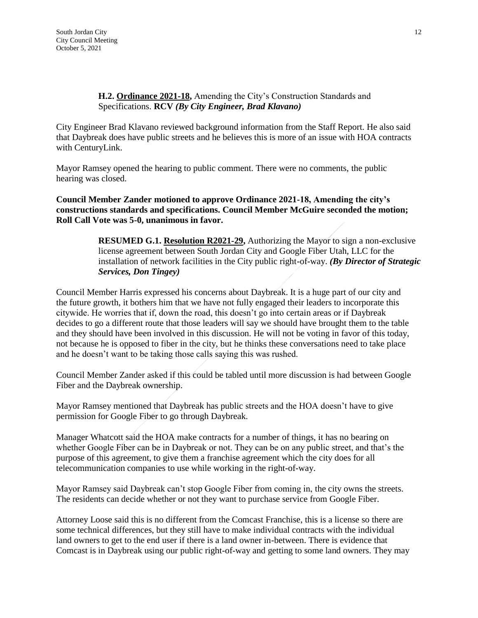### **H.2. Ordinance 2021-18,** Amending the City's Construction Standards and Specifications. **RCV** *(By City Engineer, Brad Klavano)*

City Engineer Brad Klavano reviewed background information from the Staff Report. He also said that Daybreak does have public streets and he believes this is more of an issue with HOA contracts with CenturyLink.

Mayor Ramsey opened the hearing to public comment. There were no comments, the public hearing was closed.

**Council Member Zander motioned to approve Ordinance 2021-18, Amending the city's constructions standards and specifications. Council Member McGuire seconded the motion; Roll Call Vote was 5-0, unanimous in favor.**

> **RESUMED G.1. Resolution R2021-29,** Authorizing the Mayor to sign a non-exclusive license agreement between South Jordan City and Google Fiber Utah, LLC for the installation of network facilities in the City public right-of-way. *(By Director of Strategic Services, Don Tingey)*

Council Member Harris expressed his concerns about Daybreak. It is a huge part of our city and the future growth, it bothers him that we have not fully engaged their leaders to incorporate this citywide. He worries that if, down the road, this doesn't go into certain areas or if Daybreak decides to go a different route that those leaders will say we should have brought them to the table and they should have been involved in this discussion. He will not be voting in favor of this today, not because he is opposed to fiber in the city, but he thinks these conversations need to take place and he doesn't want to be taking those calls saying this was rushed.

Council Member Zander asked if this could be tabled until more discussion is had between Google Fiber and the Daybreak ownership.

Mayor Ramsey mentioned that Daybreak has public streets and the HOA doesn't have to give permission for Google Fiber to go through Daybreak.

Manager Whatcott said the HOA make contracts for a number of things, it has no bearing on whether Google Fiber can be in Daybreak or not. They can be on any public street, and that's the purpose of this agreement, to give them a franchise agreement which the city does for all telecommunication companies to use while working in the right-of-way.

Mayor Ramsey said Daybreak can't stop Google Fiber from coming in, the city owns the streets. The residents can decide whether or not they want to purchase service from Google Fiber.

Attorney Loose said this is no different from the Comcast Franchise, this is a license so there are some technical differences, but they still have to make individual contracts with the individual land owners to get to the end user if there is a land owner in-between. There is evidence that Comcast is in Daybreak using our public right-of-way and getting to some land owners. They may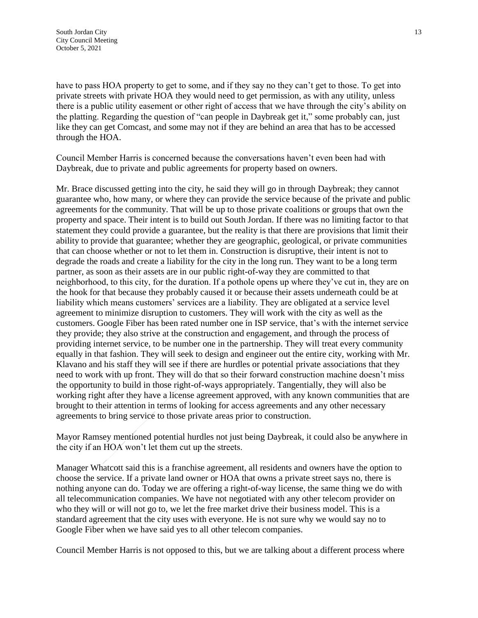have to pass HOA property to get to some, and if they say no they can't get to those. To get into private streets with private HOA they would need to get permission, as with any utility, unless there is a public utility easement or other right of access that we have through the city's ability on the platting. Regarding the question of "can people in Daybreak get it," some probably can, just like they can get Comcast, and some may not if they are behind an area that has to be accessed through the HOA.

Council Member Harris is concerned because the conversations haven't even been had with Daybreak, due to private and public agreements for property based on owners.

Mr. Brace discussed getting into the city, he said they will go in through Daybreak; they cannot guarantee who, how many, or where they can provide the service because of the private and public agreements for the community. That will be up to those private coalitions or groups that own the property and space. Their intent is to build out South Jordan. If there was no limiting factor to that statement they could provide a guarantee, but the reality is that there are provisions that limit their ability to provide that guarantee; whether they are geographic, geological, or private communities that can choose whether or not to let them in. Construction is disruptive, their intent is not to degrade the roads and create a liability for the city in the long run. They want to be a long term partner, as soon as their assets are in our public right-of-way they are committed to that neighborhood, to this city, for the duration. If a pothole opens up where they've cut in, they are on the hook for that because they probably caused it or because their assets underneath could be at liability which means customers' services are a liability. They are obligated at a service level agreement to minimize disruption to customers. They will work with the city as well as the customers. Google Fiber has been rated number one in ISP service, that's with the internet service they provide; they also strive at the construction and engagement, and through the process of providing internet service, to be number one in the partnership. They will treat every community equally in that fashion. They will seek to design and engineer out the entire city, working with Mr. Klavano and his staff they will see if there are hurdles or potential private associations that they need to work with up front. They will do that so their forward construction machine doesn't miss the opportunity to build in those right-of-ways appropriately. Tangentially, they will also be working right after they have a license agreement approved, with any known communities that are brought to their attention in terms of looking for access agreements and any other necessary agreements to bring service to those private areas prior to construction.

Mayor Ramsey mentioned potential hurdles not just being Daybreak, it could also be anywhere in the city if an HOA won't let them cut up the streets.

Manager Whatcott said this is a franchise agreement, all residents and owners have the option to choose the service. If a private land owner or HOA that owns a private street says no, there is nothing anyone can do. Today we are offering a right-of-way license, the same thing we do with all telecommunication companies. We have not negotiated with any other telecom provider on who they will or will not go to, we let the free market drive their business model. This is a standard agreement that the city uses with everyone. He is not sure why we would say no to Google Fiber when we have said yes to all other telecom companies.

Council Member Harris is not opposed to this, but we are talking about a different process where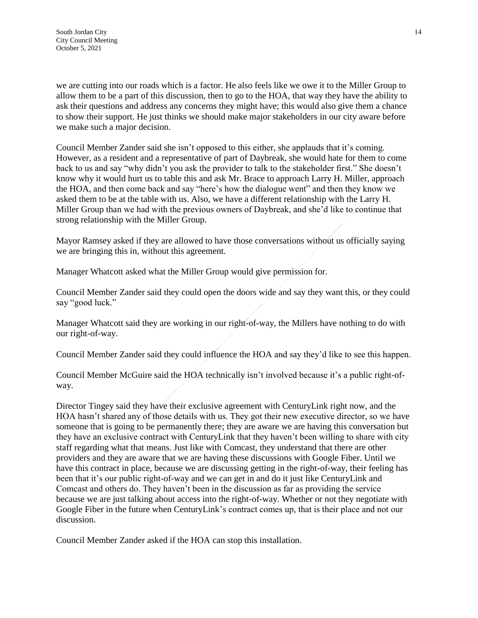we are cutting into our roads which is a factor. He also feels like we owe it to the Miller Group to allow them to be a part of this discussion, then to go to the HOA, that way they have the ability to ask their questions and address any concerns they might have; this would also give them a chance to show their support. He just thinks we should make major stakeholders in our city aware before we make such a major decision.

Council Member Zander said she isn't opposed to this either, she applauds that it's coming. However, as a resident and a representative of part of Daybreak, she would hate for them to come back to us and say "why didn't you ask the provider to talk to the stakeholder first." She doesn't know why it would hurt us to table this and ask Mr. Brace to approach Larry H. Miller, approach the HOA, and then come back and say "here's how the dialogue went" and then they know we asked them to be at the table with us. Also, we have a different relationship with the Larry H. Miller Group than we had with the previous owners of Daybreak, and she'd like to continue that strong relationship with the Miller Group.

Mayor Ramsey asked if they are allowed to have those conversations without us officially saying we are bringing this in, without this agreement.

Manager Whatcott asked what the Miller Group would give permission for.

Council Member Zander said they could open the doors wide and say they want this, or they could say "good luck."

Manager Whatcott said they are working in our right-of-way, the Millers have nothing to do with our right-of-way.

Council Member Zander said they could influence the HOA and say they'd like to see this happen.

Council Member McGuire said the HOA technically isn't involved because it's a public right-ofway.

Director Tingey said they have their exclusive agreement with CenturyLink right now, and the HOA hasn't shared any of those details with us. They got their new executive director, so we have someone that is going to be permanently there; they are aware we are having this conversation but they have an exclusive contract with CenturyLink that they haven't been willing to share with city staff regarding what that means. Just like with Comcast, they understand that there are other providers and they are aware that we are having these discussions with Google Fiber. Until we have this contract in place, because we are discussing getting in the right-of-way, their feeling has been that it's our public right-of-way and we can get in and do it just like CenturyLink and Comcast and others do. They haven't been in the discussion as far as providing the service because we are just talking about access into the right-of-way. Whether or not they negotiate with Google Fiber in the future when CenturyLink's contract comes up, that is their place and not our discussion.

Council Member Zander asked if the HOA can stop this installation.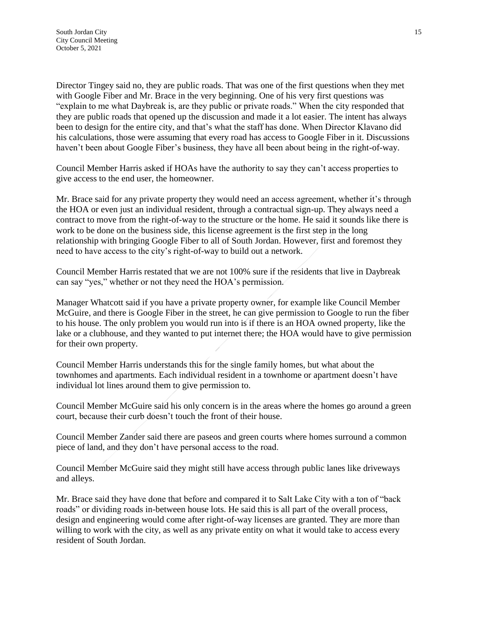Director Tingey said no, they are public roads. That was one of the first questions when they met with Google Fiber and Mr. Brace in the very beginning. One of his very first questions was "explain to me what Daybreak is, are they public or private roads." When the city responded that they are public roads that opened up the discussion and made it a lot easier. The intent has always been to design for the entire city, and that's what the staff has done. When Director Klavano did his calculations, those were assuming that every road has access to Google Fiber in it. Discussions haven't been about Google Fiber's business, they have all been about being in the right-of-way.

Council Member Harris asked if HOAs have the authority to say they can't access properties to give access to the end user, the homeowner.

Mr. Brace said for any private property they would need an access agreement, whether it's through the HOA or even just an individual resident, through a contractual sign-up. They always need a contract to move from the right-of-way to the structure or the home. He said it sounds like there is work to be done on the business side, this license agreement is the first step in the long relationship with bringing Google Fiber to all of South Jordan. However, first and foremost they need to have access to the city's right-of-way to build out a network.

Council Member Harris restated that we are not 100% sure if the residents that live in Daybreak can say "yes," whether or not they need the HOA's permission.

Manager Whatcott said if you have a private property owner, for example like Council Member McGuire, and there is Google Fiber in the street, he can give permission to Google to run the fiber to his house. The only problem you would run into is if there is an HOA owned property, like the lake or a clubhouse, and they wanted to put internet there; the HOA would have to give permission for their own property.

Council Member Harris understands this for the single family homes, but what about the townhomes and apartments. Each individual resident in a townhome or apartment doesn't have individual lot lines around them to give permission to.

Council Member McGuire said his only concern is in the areas where the homes go around a green court, because their curb doesn't touch the front of their house.

Council Member Zander said there are paseos and green courts where homes surround a common piece of land, and they don't have personal access to the road.

Council Member McGuire said they might still have access through public lanes like driveways and alleys.

Mr. Brace said they have done that before and compared it to Salt Lake City with a ton of "back roads" or dividing roads in-between house lots. He said this is all part of the overall process, design and engineering would come after right-of-way licenses are granted. They are more than willing to work with the city, as well as any private entity on what it would take to access every resident of South Jordan.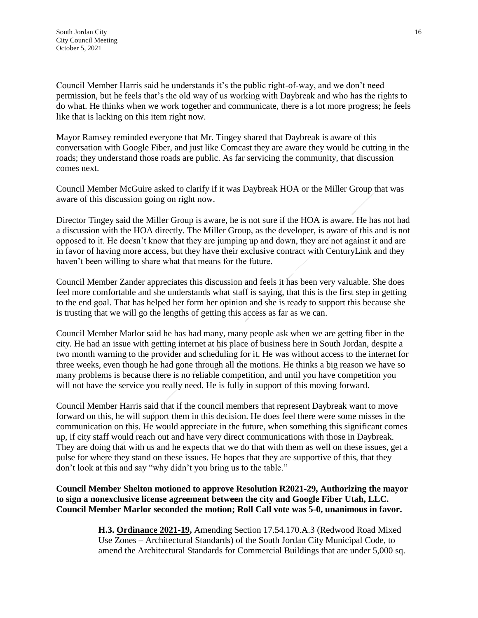Council Member Harris said he understands it's the public right-of-way, and we don't need permission, but he feels that's the old way of us working with Daybreak and who has the rights to do what. He thinks when we work together and communicate, there is a lot more progress; he feels like that is lacking on this item right now.

Mayor Ramsey reminded everyone that Mr. Tingey shared that Daybreak is aware of this conversation with Google Fiber, and just like Comcast they are aware they would be cutting in the roads; they understand those roads are public. As far servicing the community, that discussion comes next.

Council Member McGuire asked to clarify if it was Daybreak HOA or the Miller Group that was aware of this discussion going on right now.

Director Tingey said the Miller Group is aware, he is not sure if the HOA is aware. He has not had a discussion with the HOA directly. The Miller Group, as the developer, is aware of this and is not opposed to it. He doesn't know that they are jumping up and down, they are not against it and are in favor of having more access, but they have their exclusive contract with CenturyLink and they haven't been willing to share what that means for the future.

Council Member Zander appreciates this discussion and feels it has been very valuable. She does feel more comfortable and she understands what staff is saying, that this is the first step in getting to the end goal. That has helped her form her opinion and she is ready to support this because she is trusting that we will go the lengths of getting this access as far as we can.

Council Member Marlor said he has had many, many people ask when we are getting fiber in the city. He had an issue with getting internet at his place of business here in South Jordan, despite a two month warning to the provider and scheduling for it. He was without access to the internet for three weeks, even though he had gone through all the motions. He thinks a big reason we have so many problems is because there is no reliable competition, and until you have competition you will not have the service you really need. He is fully in support of this moving forward.

Council Member Harris said that if the council members that represent Daybreak want to move forward on this, he will support them in this decision. He does feel there were some misses in the communication on this. He would appreciate in the future, when something this significant comes up, if city staff would reach out and have very direct communications with those in Daybreak. They are doing that with us and he expects that we do that with them as well on these issues, get a pulse for where they stand on these issues. He hopes that they are supportive of this, that they don't look at this and say "why didn't you bring us to the table."

**Council Member Shelton motioned to approve Resolution R2021-29, Authorizing the mayor to sign a nonexclusive license agreement between the city and Google Fiber Utah, LLC. Council Member Marlor seconded the motion; Roll Call vote was 5-0, unanimous in favor.**

> **H.3. Ordinance 2021-19,** Amending Section 17.54.170.A.3 (Redwood Road Mixed Use Zones – Architectural Standards) of the South Jordan City Municipal Code, to amend the Architectural Standards for Commercial Buildings that are under 5,000 sq.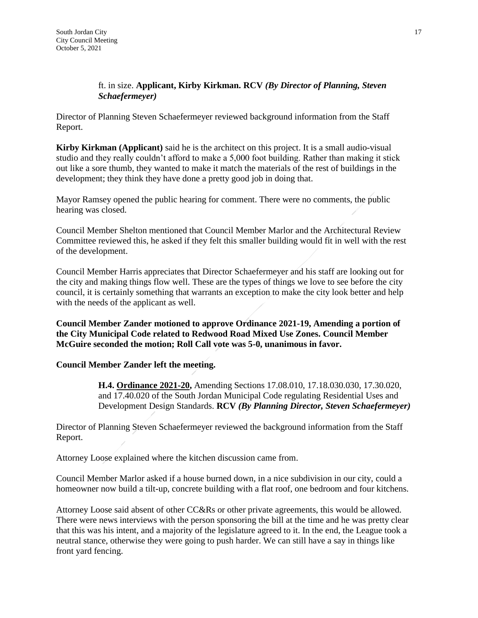## ft. in size. **Applicant, Kirby Kirkman. RCV** *(By Director of Planning, Steven Schaefermeyer)*

Director of Planning Steven Schaefermeyer reviewed background information from the Staff Report.

**Kirby Kirkman (Applicant)** said he is the architect on this project. It is a small audio-visual studio and they really couldn't afford to make a 5,000 foot building. Rather than making it stick out like a sore thumb, they wanted to make it match the materials of the rest of buildings in the development; they think they have done a pretty good job in doing that.

Mayor Ramsey opened the public hearing for comment. There were no comments, the public hearing was closed.

Council Member Shelton mentioned that Council Member Marlor and the Architectural Review Committee reviewed this, he asked if they felt this smaller building would fit in well with the rest of the development.

Council Member Harris appreciates that Director Schaefermeyer and his staff are looking out for the city and making things flow well. These are the types of things we love to see before the city council, it is certainly something that warrants an exception to make the city look better and help with the needs of the applicant as well.

**Council Member Zander motioned to approve Ordinance 2021-19, Amending a portion of the City Municipal Code related to Redwood Road Mixed Use Zones. Council Member McGuire seconded the motion; Roll Call vote was 5-0, unanimous in favor.**

#### **Council Member Zander left the meeting.**

**H.4. Ordinance 2021-20,** Amending Sections 17.08.010, 17.18.030.030, 17.30.020, and 17.40.020 of the South Jordan Municipal Code regulating Residential Uses and Development Design Standards. **RCV** *(By Planning Director, Steven Schaefermeyer)*

Director of Planning Steven Schaefermeyer reviewed the background information from the Staff Report.

Attorney Loose explained where the kitchen discussion came from.

Council Member Marlor asked if a house burned down, in a nice subdivision in our city, could a homeowner now build a tilt-up, concrete building with a flat roof, one bedroom and four kitchens.

Attorney Loose said absent of other CC&Rs or other private agreements, this would be allowed. There were news interviews with the person sponsoring the bill at the time and he was pretty clear that this was his intent, and a majority of the legislature agreed to it. In the end, the League took a neutral stance, otherwise they were going to push harder. We can still have a say in things like front yard fencing.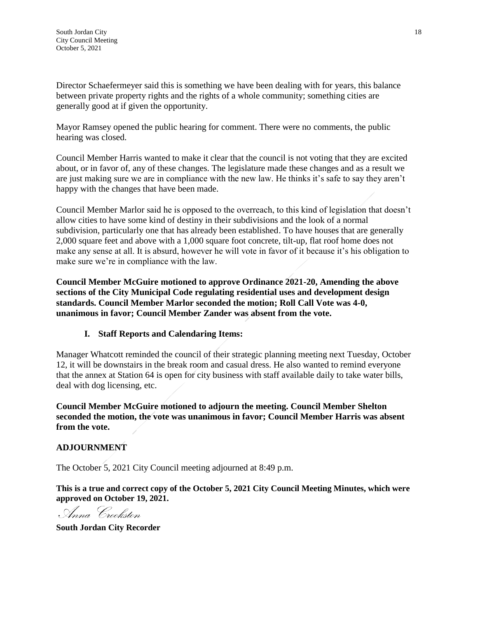Director Schaefermeyer said this is something we have been dealing with for years, this balance between private property rights and the rights of a whole community; something cities are generally good at if given the opportunity.

Mayor Ramsey opened the public hearing for comment. There were no comments, the public hearing was closed.

Council Member Harris wanted to make it clear that the council is not voting that they are excited about, or in favor of, any of these changes. The legislature made these changes and as a result we are just making sure we are in compliance with the new law. He thinks it's safe to say they aren't happy with the changes that have been made.

Council Member Marlor said he is opposed to the overreach, to this kind of legislation that doesn't allow cities to have some kind of destiny in their subdivisions and the look of a normal subdivision, particularly one that has already been established. To have houses that are generally 2,000 square feet and above with a 1,000 square foot concrete, tilt-up, flat roof home does not make any sense at all. It is absurd, however he will vote in favor of it because it's his obligation to make sure we're in compliance with the law.

**Council Member McGuire motioned to approve Ordinance 2021-20, Amending the above sections of the City Municipal Code regulating residential uses and development design standards. Council Member Marlor seconded the motion; Roll Call Vote was 4-0, unanimous in favor; Council Member Zander was absent from the vote.**

# **I. Staff Reports and Calendaring Items:**

Manager Whatcott reminded the council of their strategic planning meeting next Tuesday, October 12, it will be downstairs in the break room and casual dress. He also wanted to remind everyone that the annex at Station 64 is open for city business with staff available daily to take water bills, deal with dog licensing, etc.

**Council Member McGuire motioned to adjourn the meeting. Council Member Shelton seconded the motion, the vote was unanimous in favor; Council Member Harris was absent from the vote.**

#### **ADJOURNMENT**

The October 5, 2021 City Council meeting adjourned at 8:49 p.m.

**This is a true and correct copy of the October 5, 2021 City Council Meeting Minutes, which were approved on October 19, 2021.**

, Anna Crookston

**South Jordan City Recorder**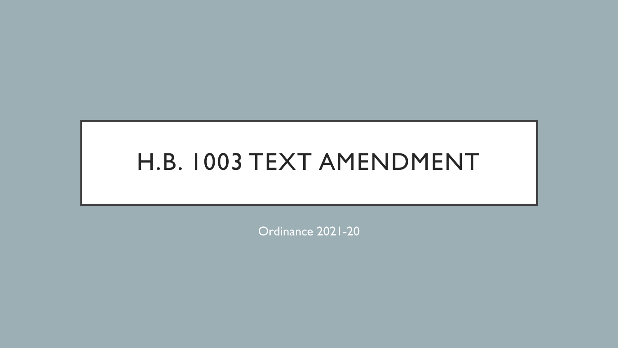# H.B. 1003 TEXT AMENDMENT

Ordinance 2021-20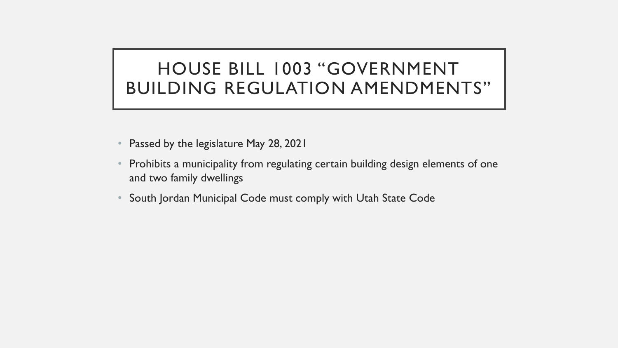# HOUSE BILL 1003 "GOVERNMENT BUILDING REGULATION AMENDMENTS"

- Passed by the legislature May 28, 2021
- Prohibits a municipality from regulating certain building design elements of one and two family dwellings
- South Jordan Municipal Code must comply with Utah State Code